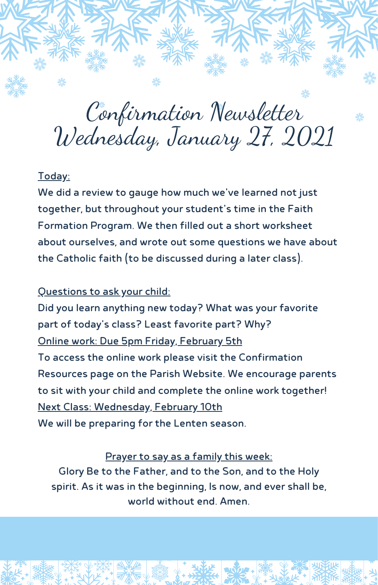Confirmation Newsletter Wednesday, January 27, 2021

# Today:

We did a review to gauge how much we've learned not just together, but throughout your student's time in the Faith Formation Program. We then filled out a short worksheet about ourselves, and wrote out some questions we have about the Catholic faith (to be discussed during a later class).

#### Questions to ask your child:

Did you learn anything new today? What was your favorite part of today's class? Least favorite part? Why? Online work: Due 5pm Friday, February 5th To access the online work please visit the Confirmation Resources page on the Parish Website. We encourage parents to sit with your child and complete the online work together! Next Class: Wednesday, February 10th We will be preparing for the Lenten season.

#### Prayer to say as a family this week:

Glory Be to the Father, and to the Son, and to the Holy spirit. As it was in the beginning, Is now, and ever shall be, world without end. Amen.